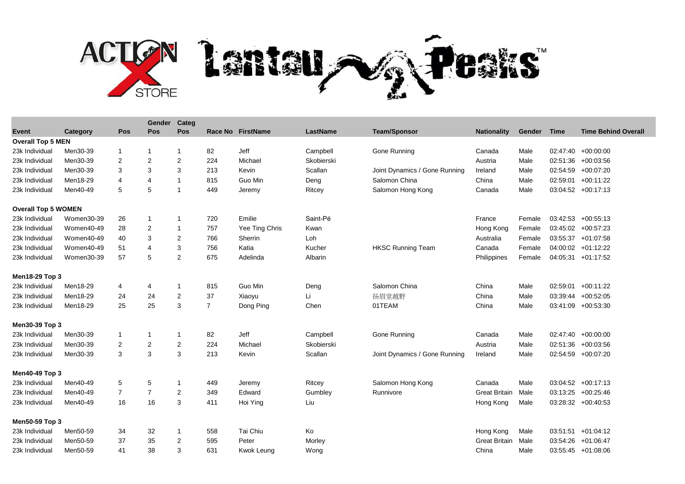

|                            |            |             | Gender           | Categ                   |                |                   |                 |                               |                      |        |          |                            |  |
|----------------------------|------------|-------------|------------------|-------------------------|----------------|-------------------|-----------------|-------------------------------|----------------------|--------|----------|----------------------------|--|
| Event                      | Category   | Pos         | <b>Pos</b>       | <b>Pos</b>              |                | Race No FirstName | <b>LastName</b> | <b>Team/Sponsor</b>           | <b>Nationality</b>   | Gender | Time     | <b>Time Behind Overall</b> |  |
| <b>Overall Top 5 MEN</b>   |            |             |                  |                         |                |                   |                 |                               |                      |        |          |                            |  |
| 23k Individual             | Men30-39   | $\mathbf 1$ | $\mathbf{1}$     | $\overline{\mathbf{1}}$ | 82             | Jeff              | Campbell        | Gone Running                  | Canada               | Male   |          | 02:47:40 +00:00:00         |  |
| 23k Individual             | Men30-39   | 2           | $\overline{c}$   | 2                       | 224            | Michael           | Skobierski      |                               | Austria              | Male   |          | 02:51:36 +00:03:56         |  |
| 23k Individual             | Men30-39   | 3           | 3                | 3                       | 213            | Kevin             | Scallan         | Joint Dynamics / Gone Running | Ireland              | Male   |          | 02:54:59 +00:07:20         |  |
| 23k Individual             | Men18-29   | 4           | 4                | -1                      | 815            | Guo Min           | Deng            | Salomon China                 | China                | Male   |          | 02:59:01 +00:11:22         |  |
| 23k Individual             | Men40-49   | 5           | 5                | $\overline{\mathbf{1}}$ | 449            | Jeremy            | Ritcey          | Salomon Hong Kong             | Canada               | Male   |          | 03:04:52 +00:17:13         |  |
| <b>Overall Top 5 WOMEN</b> |            |             |                  |                         |                |                   |                 |                               |                      |        |          |                            |  |
| 23k Individual             | Women30-39 | 26          | $\mathbf{1}$     | -1                      | 720            | Emilie            | Saint-Pé        |                               | France               | Female |          | $03:42:53$ +00:55:13       |  |
| 23k Individual             | Women40-49 | 28          | $\overline{c}$   | -1                      | 757            | Yee Ting Chris    | Kwan            |                               | Hong Kong            | Female |          | 03:45:02 +00:57:23         |  |
| 23k Individual             | Women40-49 | 40          | 3                | $\overline{2}$          | 766            | Sherrin           | Loh             |                               | Australia            | Female |          | 03:55:37 +01:07:58         |  |
| 23k Individual             | Women40-49 | 51          | 4                | 3                       | 756            | Katia             | Kucher          | <b>HKSC Running Team</b>      | Canada               | Female |          | 04:00:02 +01:12:22         |  |
| 23k Individual             | Women30-39 | 57          | 5                | 2                       | 675            | Adelinda          | Albarin         |                               | Philippines          | Female |          | 04:05:31 +01:17:52         |  |
| Men18-29 Top 3             |            |             |                  |                         |                |                   |                 |                               |                      |        |          |                            |  |
| 23k Individual             | Men18-29   | 4           | 4                | $\overline{\mathbf{1}}$ | 815            | Guo Min           | Deng            | Salomon China                 | China                | Male   |          | 02:59:01 +00:11:22         |  |
| 23k Individual             | Men18-29   | 24          | 24               | $\overline{\mathbf{c}}$ | 37             | Xiaoyu            | Li              | 扬眉堂越野                         | China                | Male   |          | 03:39:44 +00:52:05         |  |
| 23k Individual             | Men18-29   | 25          | 25               | 3                       | $\overline{7}$ | Dong Ping         | Chen            | 01TEAM                        | China                | Male   |          | 03:41:09 +00:53:30         |  |
| Men30-39 Top 3             |            |             |                  |                         |                |                   |                 |                               |                      |        |          |                            |  |
| 23k Individual             | Men30-39   | 1           | $\mathbf{1}$     | -1                      | 82             | Jeff              | Campbell        | Gone Running                  | Canada               | Male   |          | $02:47:40 + 00:00:00$      |  |
| 23k Individual             | Men30-39   | 2           | $\boldsymbol{2}$ | $\overline{2}$          | 224            | Michael           | Skobierski      |                               | Austria              | Male   | 02:51:36 | +00:03:56                  |  |
| 23k Individual             | Men30-39   | 3           | 3                | 3                       | 213            | Kevin             | Scallan         | Joint Dynamics / Gone Running | Ireland              | Male   |          | 02:54:59 +00:07:20         |  |
| Men40-49 Top 3             |            |             |                  |                         |                |                   |                 |                               |                      |        |          |                            |  |
| 23k Individual             | Men40-49   | 5           | 5                | -1                      | 449            | Jeremy            | Ritcey          | Salomon Hong Kong             | Canada               | Male   |          | $03:04:52 +00:17:13$       |  |
| 23k Individual             | Men40-49   | 7           | 7                | 2                       | 349            | Edward            | Gumbley         | Runnivore                     | <b>Great Britain</b> | Male   |          | 03:13:25 +00:25:46         |  |
| 23k Individual             | Men40-49   | 16          | 16               | 3                       | 411            | Hoi Ying          | Liu             |                               | Hong Kong            | Male   |          | $03:28:32 +00:40:53$       |  |
|                            |            |             |                  |                         |                |                   |                 |                               |                      |        |          |                            |  |
| Men50-59 Top 3             |            |             |                  |                         |                |                   |                 |                               |                      |        |          |                            |  |
| 23k Individual             | Men50-59   | 34          | 32               | -1                      | 558            | Tai Chiu          | Ko              |                               | Hong Kong            | Male   |          | 03:51:51 +01:04:12         |  |
| 23k Individual             | Men50-59   | 37          | 35               | 2                       | 595            | Peter             | Morley          |                               | <b>Great Britain</b> | Male   | 03:54:26 | $+01:06:47$                |  |
| 23k Individual             | Men50-59   | 41          | 38               | 3                       | 631            | Kwok Leung        | Wong            |                               | China                | Male   |          | $03:55:45$ +01:08:06       |  |